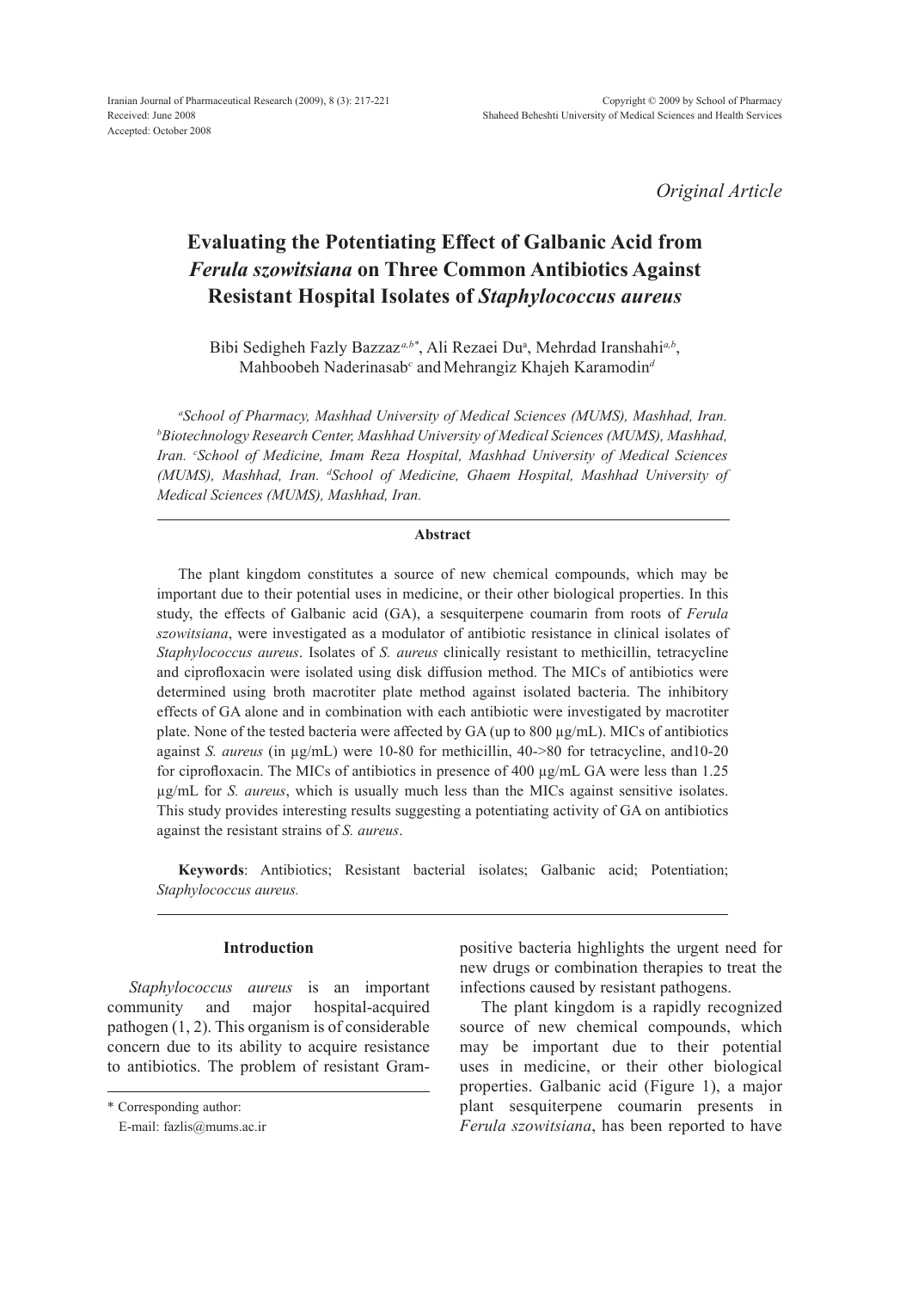*Original Article*

# **Evaluating the Potentiating Effect of Galbanic Acid from** *Ferula szowitsiana* **on three common antibiotics against resistant hospital isolates of** *Staphylococcus aureus*

Bibi Sedigheh Fazly Bazzaz<sup>a,b\*</sup>, Ali Rezaei Du<sup>a</sup>, Mehrdad Iranshahi<sup>a,b</sup>, Mahboobeh Naderinasab<sup>c</sup> and Mehrangiz Khajeh Karamodin<sup>d</sup>

*a School of Pharmacy, Mashhad University of Medical Sciences (MUMS), Mashhad, Iran. b Biotechnology Research Center, Mashhad University of Medical Sciences (MUMS), Mashhad, Iran. c School of Medicine, Imam Reza Hospital, Mashhad University of Medical Sciences (MUMS), Mashhad, Iran. d School of Medicine, Ghaem Hospital, Mashhad University of Medical Sciences (MUMS), Mashhad, Iran.*

## **Abstract**

The plant kingdom constitutes a source of new chemical compounds, which may be important due to their potential uses in medicine, or their other biological properties. In this study, the effects of Galbanic acid (GA), a sesquiterpene coumarin from roots of *Ferula szowitsiana*, were investigated as a modulator of antibiotic resistance in clinical isolates of *Staphylococcus aureus*. Isolates of *S. aureus* clinically resistant to methicillin, tetracycline and ciprofloxacin were isolated using disk diffusion method. The MICs of antibiotics were determined using broth macrotiter plate method against isolated bacteria. The inhibitory effects of GA alone and in combination with each antibiotic were investigated by macrotiter plate. None of the tested bacteria were affected by GA (up to 800 µg/mL). MICs of antibiotics against *S. aureus* (in µg/mL) were 10-80 for methicillin, 40->80 for tetracycline, and10-20 for ciprofloxacin. The MICs of antibiotics in presence of 400 µg/mL GA were less than 1.25 µg/mL for *S. aureus*, which is usually much less than the MICs against sensitive isolates. This study provides interesting results suggesting a potentiating activity of GA on antibiotics against the resistant strains of *S. aureus*.

**Keywords**: Antibiotics; Resistant bacterial isolates; Galbanic acid; Potentiation; *Staphylococcus aureus.*

### **Introduction**

*Staphylococcus aureus* is an important community and major hospital-acquired pathogen (1, 2). This organism is of considerable concern due to its ability to acquire resistance to antibiotics. The problem of resistant Grampositive bacteria highlights the urgent need for new drugs or combination therapies to treat the infections caused by resistant pathogens.

The plant kingdom is a rapidly recognized source of new chemical compounds, which may be important due to their potential uses in medicine, or their other biological properties. Galbanic acid (Figure 1), a major plant sesquiterpene coumarin presents in *Ferula szowitsiana*, has been reported to have

<sup>\*</sup> Corresponding author:

E-mail: fazlis@mums.ac.ir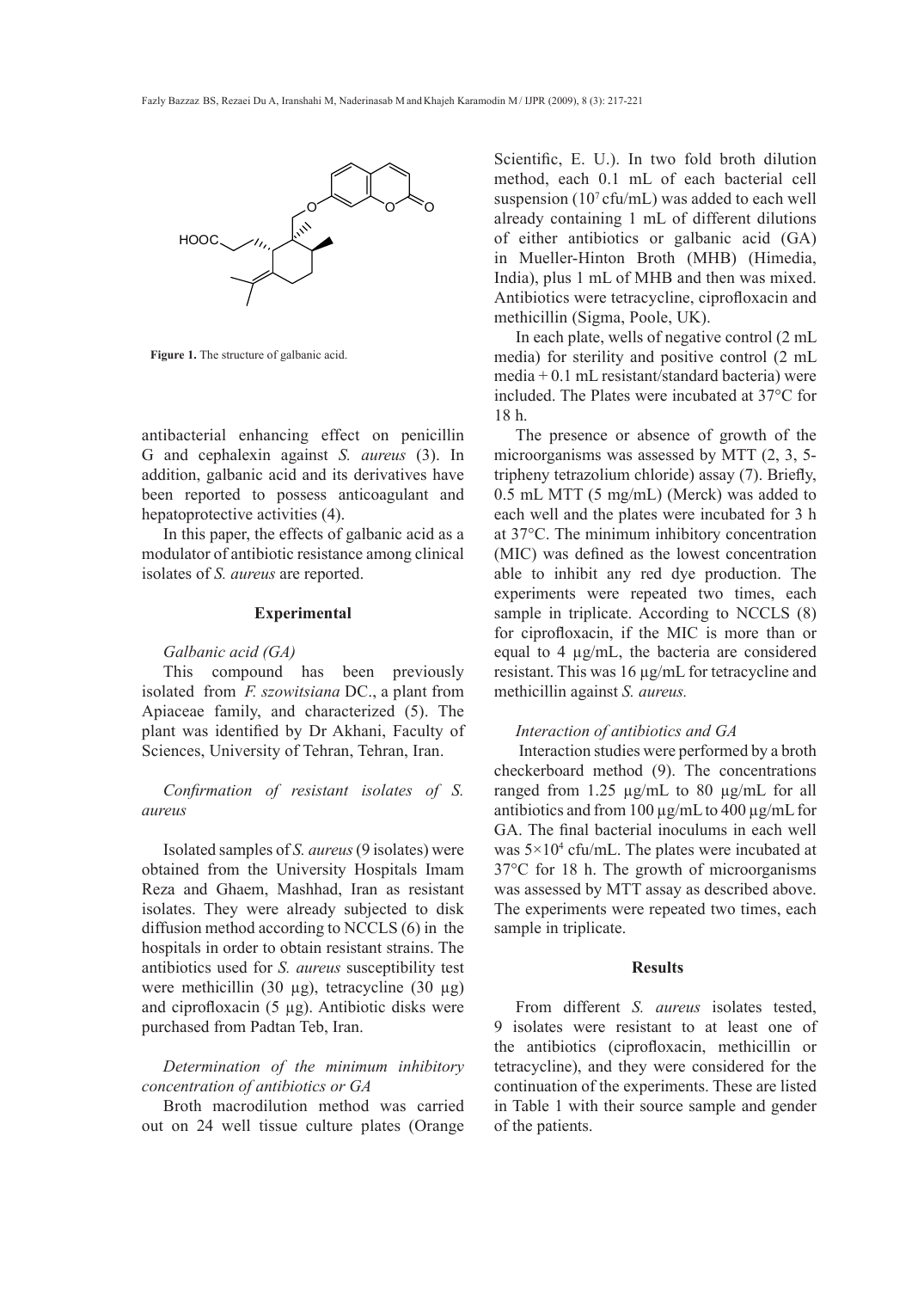

Figure 1. The structure of galbanic acid.

antibacterial enhancing effect on penicillin G and cephalexin against *S. aureus* (3). In addition, galbanic acid and its derivatives have been reported to possess anticoagulant and hepatoprotective activities (4).

In this paper, the effects of galbanic acid as a modulator of antibiotic resistance among clinical isolates of *S. aureus* are reported.

## **Experimental**

#### *Galbanic acid (GA)*

This compound has been previously isolated from *F. szowitsiana* DC., a plant from Apiaceae family, and characterized (5). The plant was identified by Dr Akhani, Faculty of Sciences, University of Tehran, Tehran, Iran.

## *Confirmation of resistant isolates of S. aureus*

Isolated samples of *S. aureus* (9 isolates) were obtained from the University Hospitals Imam Reza and Ghaem, Mashhad, Iran as resistant isolates. They were already subjected to disk diffusion method according to NCCLS (6) in the hospitals in order to obtain resistant strains. The antibiotics used for *S. aureus* susceptibility test were methicillin (30 µg), tetracycline (30 µg) and ciprofloxacin  $(5 \mu g)$ . Antibiotic disks were purchased from Padtan Teb, Iran.

# *Determination of the minimum inhibitory concentration of antibiotics or GA*

Broth macrodilution method was carried out on 24 well tissue culture plates (Orange Scientific, E. U.). In two fold broth dilution method, each 0.1 mL of each bacterial cell suspension (10<sup>7</sup>cfu/mL) was added to each well already containing 1 ml of different dilutions of either antibiotics or galbanic acid (GA) in Mueller-Hinton Broth (MHB) (Himedia, India), plus 1 mL of MHB and then was mixed. Antibiotics were tetracycline, ciprofloxacin and methicillin (Sigma, Poole, UK).

In each plate, wells of negative control (2 mL media) for sterility and positive control (2 mL media + 0.1 mL resistant/standard bacteria) were included. The Plates were incubated at 37°C for 18 h.

The presence or absence of growth of the microorganisms was assessed by MTT (2, 3, 5 tripheny tetrazolium chloride) assay (7). Briefly, 0.5 mL MTT (5 mg/mL) (Merck) was added to each well and the plates were incubated for 3 h at 37°C. The minimum inhibitory concentration (MIC) was defined as the lowest concentration able to inhibit any red dye production. The experiments were repeated two times, each sample in triplicate. According to NCCLS  $(8)$ for ciprofloxacin, if the MIC is more than or equal to 4 µg/mL, the bacteria are considered resistant. This was 16 µg/mL for tetracycline and methicillin against *S. aureus.*

## *Interaction of antibiotics and GA*

 Interaction studies were performed by a broth checkerboard method (9). The concentrations ranged from 1.25 µg/mL to 80 µg/mL for all antibiotics and from 100 µg/mL to 400 µg/mL for GA. The final bacterial inoculums in each well was  $5 \times 10^4$  cfu/mL. The plates were incubated at 37°C for 18 h. The growth of microorganisms was assessed by MTT assay as described above. The experiments were repeated two times, each sample in triplicate.

## **Results**

From different *S. aureus* isolates tested, 9 isolates were resistant to at least one of the antibiotics (ciprofloxacin, methicillin or tetracycline), and they were considered for the continuation of the experiments. These are listed in Table 1 with their source sample and gender of the patients.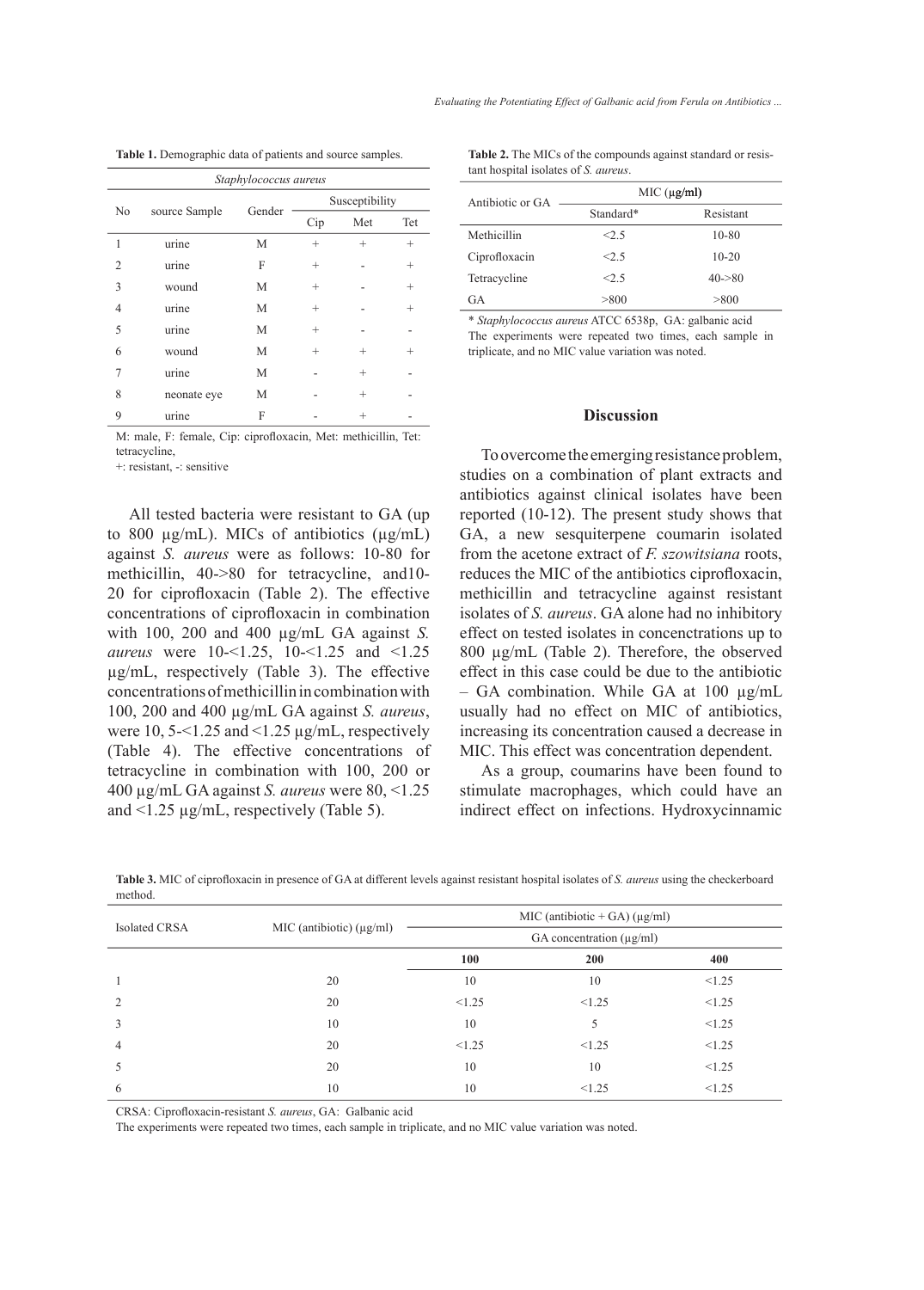| Staphylococcus aureus |               |        |                |        |        |
|-----------------------|---------------|--------|----------------|--------|--------|
| No                    | source Sample | Gender | Susceptibility |        |        |
|                       |               |        | Cip            | Met    | Tet    |
| 1                     | urine         | M      | $^{+}$         | $^{+}$ | $^{+}$ |
| $\overline{c}$        | urine         | F      | $^{+}$         |        | $^{+}$ |
| 3                     | wound         | М      | $^+$           |        | $^{+}$ |
| $\overline{4}$        | urine         | М      | $^{+}$         |        | $^{+}$ |
| 5                     | urine         | М      | $^{+}$         |        |        |
| 6                     | wound         | М      | $^{+}$         | $^{+}$ | $^+$   |
| 7                     | urine         | M      |                | $^{+}$ |        |
| 8                     | neonate eye   | M      |                | $^{+}$ |        |
| 9                     | urine         | F      |                |        |        |

M: male, F: female, Cip: ciprofloxacin, Met: methicillin, Tet: tetracycline,

+: resistant, -: sensitive

All tested bacteria were resistant to GA (up to 800  $\mu$ g/mL). MICs of antibiotics ( $\mu$ g/mL) against *S. aureus* were as follows: 10-80 for methicillin, 40->80 for tetracycline, and10- 20 for ciprofloxacin (Table 2). The effective concentrations of ciprofloxacin in combination with 100, 200 and 400 µg/mL GA against *S. aureus* were 10-<1.25, 10-<1.25 and <1.25 µg/mL, respectively (Table 3). The effective concentrations of methicillin in combination with 100, 200 and 400 µg/mL GA against *S. aureus*, were 10, 5-<1.25 and <1.25  $\mu$ g/mL, respectively (Table 4). The effective concentrations of tetracycline in combination with 100, 200 or 400 µg/mL GA against *S. aureus* were 80, <1.25 and <1.25 µg/mL, respectively (Table 5).

**Table 1.** Demographic data of patients and source samples. **Table 2.** The MICs of the compounds against standard or resistant hospital isolates of *S. aureus*.

| Antibiotic or GA | MIC (µg/ml) |           |  |  |
|------------------|-------------|-----------|--|--|
|                  | Standard*   | Resistant |  |  |
| Methicillin      | $<$ 5       | $10 - 80$ |  |  |
| Ciprofloxacin    | <2.5        | $10 - 20$ |  |  |
| Tetracycline     | <2.5        | $40 - 80$ |  |  |
| GA               | > 800       | > 800     |  |  |

\* *Staphylococcus aureus* ATCC 6538p, GA: galbanic acid The experiments were repeated two times, each sample in triplicate, and no MIC value variation was noted.

### **Discussion**

To overcome the emerging resistance problem, studies on a combination of plant extracts and antibiotics against clinical isolates have been reported (10-12). The present study shows that GA, a new sesquiterpene coumarin isolated from the acetone extract of *F. szowitsiana* roots, reduces the MIC of the antibiotics ciprofloxacin, methicillin and tetracycline against resistant isolates of *S. aureus*. GA alone had no inhibitory effect on tested isolates in concenctrations up to 800 µg/mL (Table 2). Therefore, the observed effect in this case could be due to the antibiotic  $-$  GA combination. While GA at 100  $\mu$ g/mL usually had no effect on MIC of antibiotics, increasing its concentration caused a decrease in MIC. This effect was concentration dependent.

As a group, coumarins have been found to stimulate macrophages, which could have an indirect effect on infections. Hydroxycinnamic

| Isolated CRSA  | MIC (antibiotic) $(\mu g/ml)$ |        | MIC (antibiotic + GA) ( $\mu$ g/ml) |        |
|----------------|-------------------------------|--------|-------------------------------------|--------|
|                |                               |        | GA concentration $(\mu g/ml)$       |        |
|                |                               | 100    | 200                                 | 400    |
|                | 20                            | 10     | 10                                  | < 1.25 |
| 2              | 20                            | < 1.25 | < 1.25                              | < 1.25 |
| 3              | 10                            | 10     | 5                                   | < 1.25 |
| $\overline{4}$ | 20                            | < 1.25 | < 1.25                              | < 1.25 |
| 5              | 20                            | 10     | 10                                  | < 1.25 |
| 6              | 10                            | 10     | $\leq 1.25$                         | < 1.25 |

**Table 3.** MIC of ciprofloxacin in presence of GA at different levels against resistant hospital isolates of *S. aureus* using the checkerboard method.

CRSA: Ciprofloxacin-resistant *S. aureus*, GA: Galbanic acid

The experiments were repeated two times, each sample in triplicate, and no MIC value variation was noted.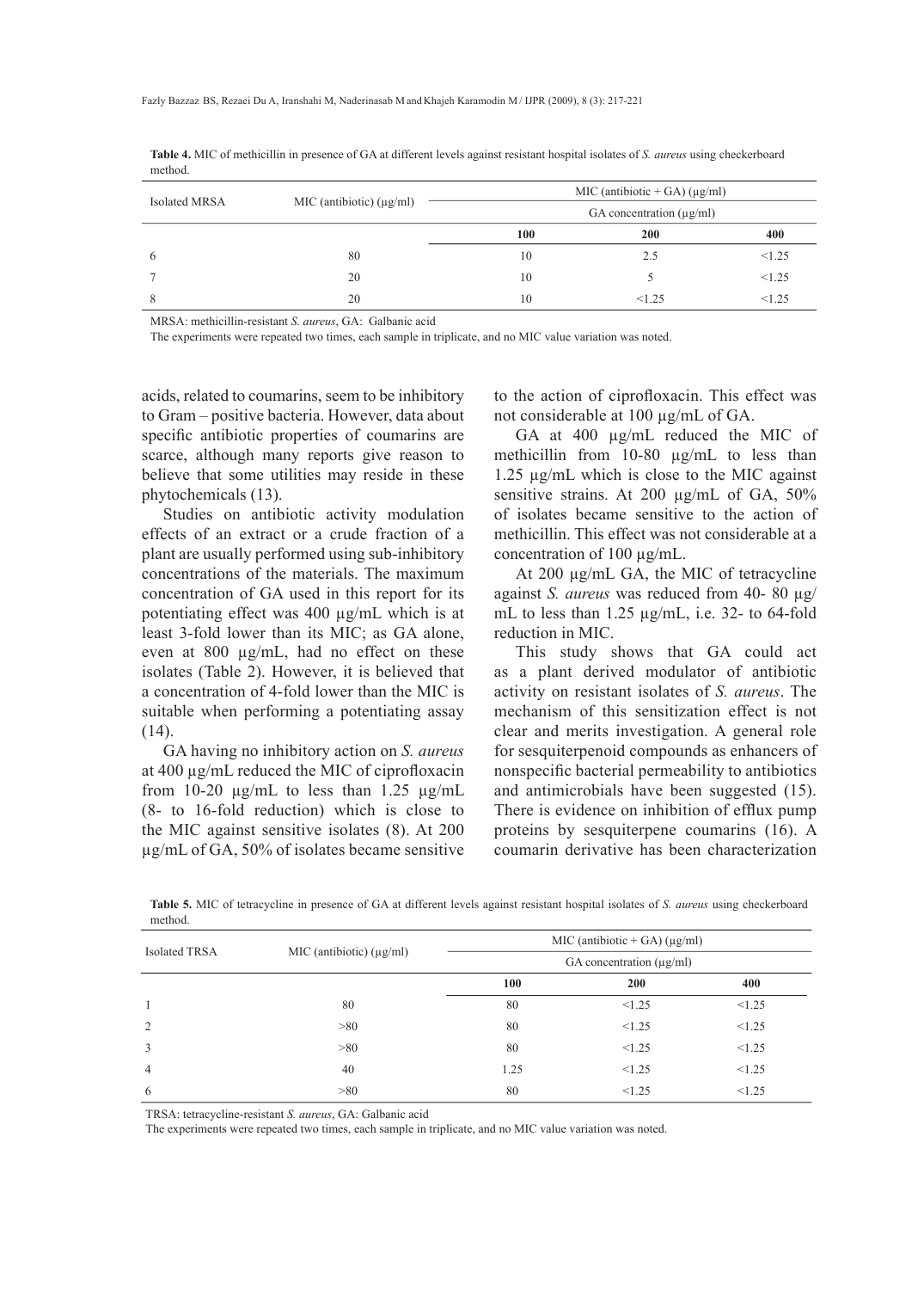|                 | MIC (antibiotic) $(\mu g/ml)$ | MIC (antibiotic + GA) ( $\mu$ g/ml) |       |        |
|-----------------|-------------------------------|-------------------------------------|-------|--------|
| Isolated MRSA   |                               | GA concentration $(\mu g/ml)$       |       |        |
|                 |                               | 100                                 | 200   | 400    |
| $\ddot{\sigma}$ | 80                            | 10                                  | 2.5   | < 1.25 |
|                 | 20                            | 10                                  |       | < 1.25 |
| 8               | 20                            | 10                                  | <1.25 | < 1.25 |

**Table 4.** MIC of methicillin in presence of GA at different levels against resistant hospital isolates of *S. aureus* using checkerboard method.

MRSA: methicillin-resistant *S. aureus*, GA: Galbanic acid

The experiments were repeated two times, each sample in triplicate, and no MIC value variation was noted.

acids, related to coumarins, seem to be inhibitory to Gram – positive bacteria. However, data about specific antibiotic properties of coumarins are scarce, although many reports give reason to believe that some utilities may reside in these phytochemicals (13).

Studies on antibiotic activity modulation effects of an extract or a crude fraction of a plant are usually performed using sub-inhibitory concentrations of the materials. The maximum concentration of GA used in this report for its potentiating effect was 400 µg/mL which is at least 3-fold lower than its MIC; as GA alone, even at 800 µg/mL, had no effect on these isolates (Table 2). However, it is believed that a concentration of 4-fold lower than the MIC is suitable when performing a potentiating assay (14).

GA having no inhibitory action on *S. aureus* at 400 µg/mL reduced the MIC of ciprofloxacin from 10-20  $\mu$ g/mL to less than 1.25  $\mu$ g/mL (8- to 16-fold reduction) which is close to the MIC against sensitive isolates (8). At 200 µg/mL of GA, 50% of isolates became sensitive

to the action of ciprofloxacin. This effect was not considerable at 100 µg/mL of GA.

GA at 400 µg/mL reduced the MIC of methicillin from 10-80 µg/mL to less than 1.25 µg/mL which is close to the MIC against sensitive strains. At 200 µg/mL of GA, 50% of isolates became sensitive to the action of methicillin. This effect was not considerable at a concentration of 100 µg/mL.

At 200  $\mu$ g/mL GA, the MIC of tetracycline against *S. aureus* was reduced from 40- 80 µg/ mL to less than 1.25  $\mu$ g/mL, i.e. 32- to 64-fold reduction in MIC.

This study shows that GA could act as a plant derived modulator of antibiotic activity on resistant isolates of *S. aureus*. The mechanism of this sensitization effect is not clear and merits investigation. A general role for sesquiterpenoid compounds as enhancers of nonspecific bacterial permeability to antibiotics and antimicrobials have been suggested (15). There is evidence on inhibition of efflux pump proteins by sesquiterpene coumarins (16). A coumarin derivative has been characterization

**Table 5.** MIC of tetracycline in presence of GA at different levels against resistant hospital isolates of *S. aureus* using checkerboard method.

| <b>Isolated TRSA</b> | MIC (antibiotic) $(\mu g/ml)$ |      | MIC (antibiotic + GA) ( $\mu$ g/ml) |        |
|----------------------|-------------------------------|------|-------------------------------------|--------|
|                      |                               |      | GA concentration $(\mu g/ml)$       |        |
|                      |                               | 100  | <b>200</b>                          | 400    |
| -1                   | 80                            | 80   | < 1.25                              | < 1.25 |
| 2                    | >80                           | 80   | < 1.25                              | < 1.25 |
| 3                    | >80                           | 80   | < 1.25                              | < 1.25 |
| $\overline{4}$       | 40                            | 1.25 | < 1.25                              | < 1.25 |
| 6                    | >80                           | 80   | < 1.25                              | < 1.25 |

TRSA: tetracycline-resistant *S. aureus*, GA: Galbanic acid

The experiments were repeated two times, each sample in triplicate, and no MIC value variation was noted.